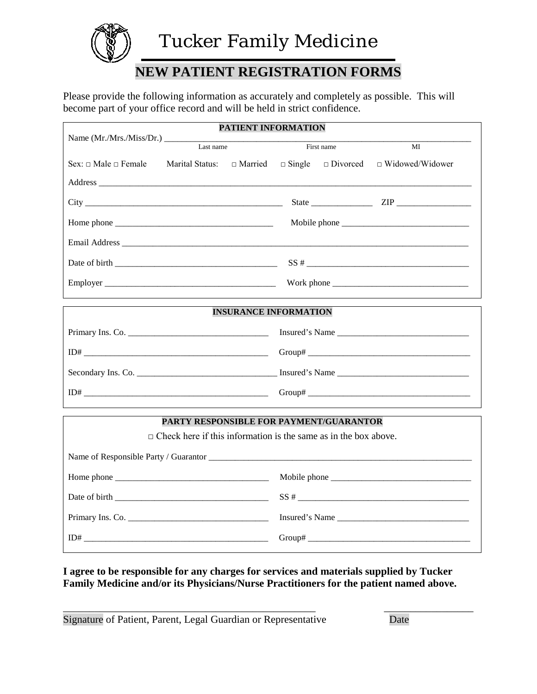

### **NEW PATIENT REGISTRATION FORMS**

Please provide the following information as accurately and completely as possible. This will become part of your office record and will be held in strict confidence.

|                                    | <b>PATIENT INFORMATION</b>   |                                                                                     |            |    |  |
|------------------------------------|------------------------------|-------------------------------------------------------------------------------------|------------|----|--|
|                                    | Last name                    |                                                                                     | First name | MI |  |
| Sex: $\sqcap$ Male $\sqcap$ Female |                              | Marital Status: $\Box$ Married $\Box$ Single $\Box$ Divorced $\Box$ Widowed/Widower |            |    |  |
|                                    |                              |                                                                                     |            |    |  |
|                                    |                              |                                                                                     |            |    |  |
|                                    |                              |                                                                                     |            |    |  |
|                                    |                              |                                                                                     |            |    |  |
|                                    |                              |                                                                                     |            |    |  |
|                                    |                              |                                                                                     |            |    |  |
|                                    | <b>INSURANCE INFORMATION</b> |                                                                                     |            |    |  |

|                    | Insured's Name |
|--------------------|----------------|
|                    |                |
| Secondary Ins. Co. | Insured's Name |
| ID#                |                |

#### **PARTY RESPONSIBLE FOR PAYMENT/GUARANTOR**

 $\Box$  Check here if this information is the same as in the box above.

| Home phone $\frac{1}{\sqrt{1-\frac{1}{2}}}\left\{ \frac{1}{2}, \frac{1}{2}, \frac{1}{2}, \frac{1}{2}, \frac{1}{2}, \frac{1}{2}, \frac{1}{2}, \frac{1}{2}, \frac{1}{2}, \frac{1}{2}, \frac{1}{2}, \frac{1}{2}, \frac{1}{2}, \frac{1}{2}, \frac{1}{2}, \frac{1}{2}, \frac{1}{2}, \frac{1}{2}, \frac{1}{2}, \frac{1}{2}, \frac{1}{2}, \frac{1}{2}, \frac{1}{2}, \frac{1}{2}, \frac{1}{2}, \frac{1}{2}, \frac{1}{2},$ | Mobile phone   |
|-------------------------------------------------------------------------------------------------------------------------------------------------------------------------------------------------------------------------------------------------------------------------------------------------------------------------------------------------------------------------------------------------------------------|----------------|
|                                                                                                                                                                                                                                                                                                                                                                                                                   |                |
| Primary Ins. Co.                                                                                                                                                                                                                                                                                                                                                                                                  | Insured's Name |
|                                                                                                                                                                                                                                                                                                                                                                                                                   |                |

#### **I agree to be responsible for any charges for services and materials supplied by Tucker Family Medicine and/or its Physicians/Nurse Practitioners for the patient named above.**

\_\_\_\_\_\_\_\_\_\_\_\_\_\_\_\_\_\_\_\_\_\_\_\_\_\_\_\_\_\_\_\_\_\_\_\_\_\_\_\_\_\_\_\_\_\_\_\_ \_\_\_\_\_\_\_\_\_\_\_\_\_\_\_\_\_ Signature of Patient, Parent, Legal Guardian or Representative Date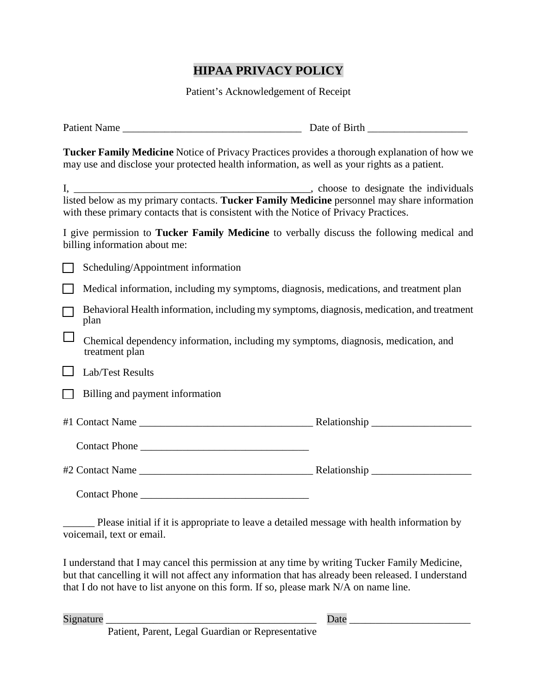### **HIPAA PRIVACY POLICY**

Patient's Acknowledgement of Receipt

| Tucker Family Medicine Notice of Privacy Practices provides a thorough explanation of how we<br>may use and disclose your protected health information, as well as your rights as a patient. |  |
|----------------------------------------------------------------------------------------------------------------------------------------------------------------------------------------------|--|
| with these primary contacts that is consistent with the Notice of Privacy Practices.                                                                                                         |  |
| I give permission to Tucker Family Medicine to verbally discuss the following medical and<br>billing information about me:                                                                   |  |
| Scheduling/Appointment information                                                                                                                                                           |  |
| Medical information, including my symptoms, diagnosis, medications, and treatment plan                                                                                                       |  |
| Behavioral Health information, including my symptoms, diagnosis, medication, and treatment<br>plan                                                                                           |  |
| Chemical dependency information, including my symptoms, diagnosis, medication, and<br>treatment plan                                                                                         |  |
| Lab/Test Results                                                                                                                                                                             |  |
| Billing and payment information                                                                                                                                                              |  |
|                                                                                                                                                                                              |  |
| Contact Phone                                                                                                                                                                                |  |
|                                                                                                                                                                                              |  |
| Contact Phone                                                                                                                                                                                |  |

Please initial if it is appropriate to leave a detailed message with health information by voicemail, text or email.

I understand that I may cancel this permission at any time by writing Tucker Family Medicine, but that cancelling it will not affect any information that has already been released. I understand that I do not have to list anyone on this form. If so, please mark N/A on name line.

Signature \_\_\_\_\_\_\_\_\_\_\_\_\_\_\_\_\_\_\_\_\_\_\_\_\_\_\_\_\_\_\_\_\_\_\_\_\_\_\_\_ Date \_\_\_\_\_\_\_\_\_\_\_\_\_\_\_\_\_\_\_\_\_\_\_

Patient, Parent, Legal Guardian or Representative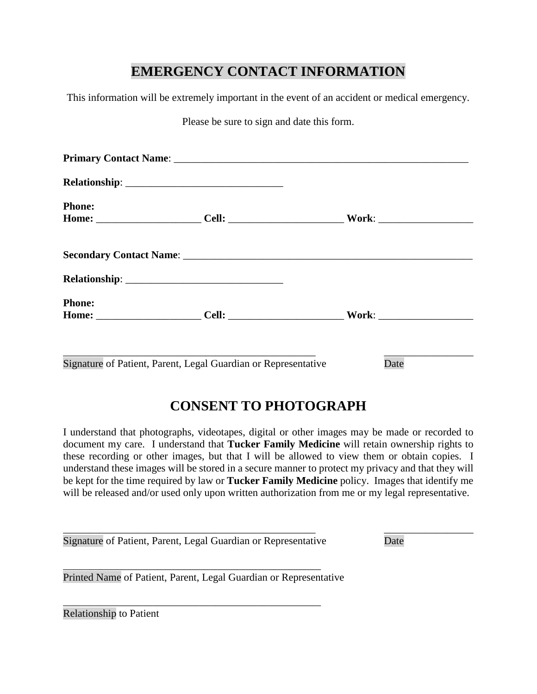### **EMERGENCY CONTACT INFORMATION**

This information will be extremely important in the event of an accident or medical emergency.

Please be sure to sign and date this form.

| <b>Phone:</b>                                                  |      |
|----------------------------------------------------------------|------|
|                                                                |      |
|                                                                |      |
|                                                                |      |
| <b>Phone:</b>                                                  |      |
|                                                                |      |
|                                                                |      |
| Signature of Patient, Parent, Legal Guardian or Representative | Date |

# **CONSENT TO PHOTOGRAPH**

I understand that photographs, videotapes, digital or other images may be made or recorded to document my care. I understand that **Tucker Family Medicine** will retain ownership rights to these recording or other images, but that I will be allowed to view them or obtain copies. I understand these images will be stored in a secure manner to protect my privacy and that they will be kept for the time required by law or **Tucker Family Medicine** policy. Images that identify me will be released and/or used only upon written authorization from me or my legal representative.

\_\_\_\_\_\_\_\_\_\_\_\_\_\_\_\_\_\_\_\_\_\_\_\_\_\_\_\_\_\_\_\_\_\_\_\_\_\_\_\_\_\_\_\_\_\_\_\_ \_\_\_\_\_\_\_\_\_\_\_\_\_\_\_\_\_ Signature of Patient, Parent, Legal Guardian or Representative Date

\_\_\_\_\_\_\_\_\_\_\_\_\_\_\_\_\_\_\_\_\_\_\_\_\_\_\_\_\_\_\_\_\_\_\_\_\_\_\_\_\_\_\_\_\_\_\_\_\_

\_\_\_\_\_\_\_\_\_\_\_\_\_\_\_\_\_\_\_\_\_\_\_\_\_\_\_\_\_\_\_\_\_\_\_\_\_\_\_\_\_\_\_\_\_\_\_\_\_

Printed Name of Patient, Parent, Legal Guardian or Representative

Relationship to Patient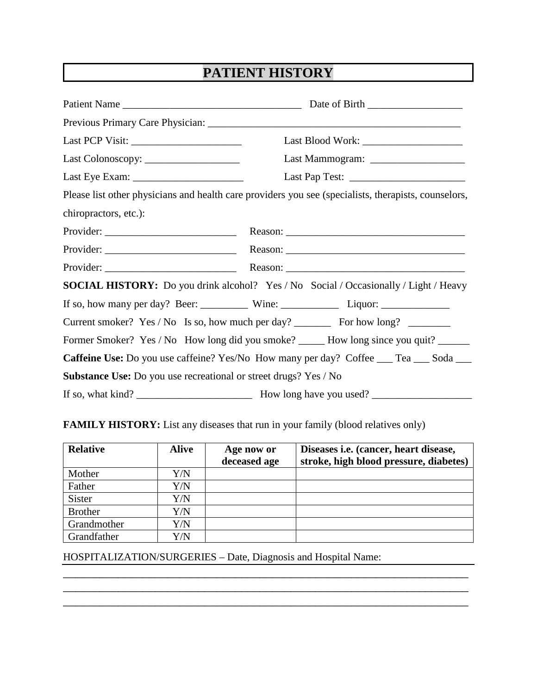## **PATIENT HISTORY**

|                                                                  | Last Blood Work:                                                                                     |  |
|------------------------------------------------------------------|------------------------------------------------------------------------------------------------------|--|
|                                                                  |                                                                                                      |  |
|                                                                  |                                                                                                      |  |
|                                                                  | Please list other physicians and health care providers you see (specialists, therapists, counselors, |  |
| chiropractors, etc.):                                            |                                                                                                      |  |
|                                                                  |                                                                                                      |  |
|                                                                  |                                                                                                      |  |
|                                                                  |                                                                                                      |  |
|                                                                  | <b>SOCIAL HISTORY:</b> Do you drink alcohol? Yes / No Social / Occasionally / Light / Heavy          |  |
|                                                                  |                                                                                                      |  |
|                                                                  | Current smoker? Yes / No Is so, how much per day? __________ For how long? ________                  |  |
|                                                                  | Former Smoker? Yes / No How long did you smoke? _____ How long since you quit? _____                 |  |
|                                                                  | Caffeine Use: Do you use caffeine? Yes/No How many per day? Coffee __ Tea __ Soda __                 |  |
| Substance Use: Do you use recreational or street drugs? Yes / No |                                                                                                      |  |
|                                                                  |                                                                                                      |  |

### **FAMILY HISTORY:** List any diseases that run in your family (blood relatives only)

| <b>Relative</b> | <b>Alive</b> | Age now or<br>deceased age | Diseases <i>i.e.</i> (cancer, heart disease,<br>stroke, high blood pressure, diabetes) |
|-----------------|--------------|----------------------------|----------------------------------------------------------------------------------------|
| Mother          | Y/N          |                            |                                                                                        |
| Father          | Y/N          |                            |                                                                                        |
| <b>Sister</b>   | ${\rm Y/N}$  |                            |                                                                                        |
| <b>Brother</b>  | Y/N          |                            |                                                                                        |
| Grandmother     | Y/N          |                            |                                                                                        |
| Grandfather     | Y/N          |                            |                                                                                        |

\_\_\_\_\_\_\_\_\_\_\_\_\_\_\_\_\_\_\_\_\_\_\_\_\_\_\_\_\_\_\_\_\_\_\_\_\_\_\_\_\_\_\_\_\_\_\_\_\_\_\_\_\_\_\_\_\_\_\_\_\_\_\_\_\_\_ \_\_\_\_\_\_\_\_\_\_\_\_\_\_\_\_\_\_\_\_\_\_\_\_\_\_\_\_\_\_\_\_\_\_\_\_\_\_\_\_\_\_\_\_\_\_\_\_\_\_\_\_\_\_\_\_\_\_\_\_\_\_\_\_\_\_ \_\_\_\_\_\_\_\_\_\_\_\_\_\_\_\_\_\_\_\_\_\_\_\_\_\_\_\_\_\_\_\_\_\_\_\_\_\_\_\_\_\_\_\_\_\_\_\_\_\_\_\_\_\_\_\_\_\_\_\_\_\_\_\_\_\_

HOSPITALIZATION/SURGERIES – Date, Diagnosis and Hospital Name: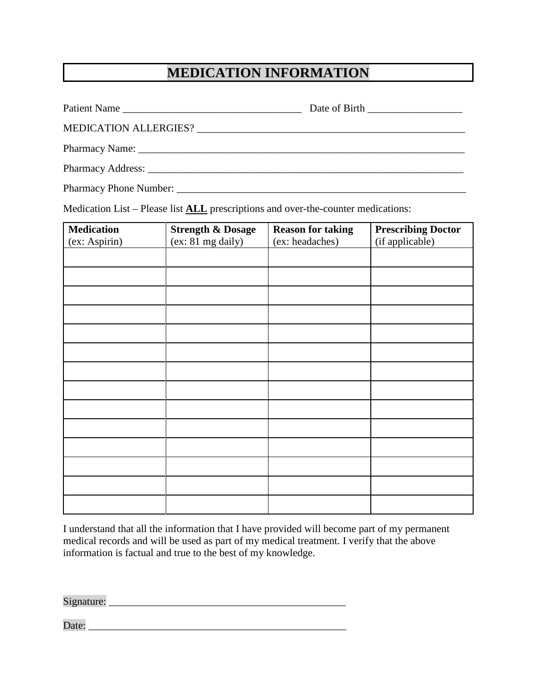### **MEDICATION INFORMATION**

| Pharmacy Phone Number: |  |
|------------------------|--|

Medication List – Please list **ALL** prescriptions and over-the-counter medications:

| <b>Medication</b> | <b>Strength &amp; Dosage</b> | <b>Reason for taking</b> | <b>Prescribing Doctor</b> |
|-------------------|------------------------------|--------------------------|---------------------------|
| (ex: Aspirin)     | (ex: 81 mg daily)            | (ex: headaches)          | (if applicable)           |
|                   |                              |                          |                           |
|                   |                              |                          |                           |
|                   |                              |                          |                           |
|                   |                              |                          |                           |
|                   |                              |                          |                           |
|                   |                              |                          |                           |
|                   |                              |                          |                           |
|                   |                              |                          |                           |
|                   |                              |                          |                           |
|                   |                              |                          |                           |
|                   |                              |                          |                           |
|                   |                              |                          |                           |
|                   |                              |                          |                           |
|                   |                              |                          |                           |

I understand that all the information that I have provided will become part of my permanent medical records and will be used as part of my medical treatment. I verify that the above information is factual and true to the best of my knowledge.

Signature: \_\_\_\_\_\_\_\_\_\_\_\_\_\_\_\_\_\_\_\_\_\_\_\_\_\_\_\_\_\_\_\_\_\_\_\_\_\_\_\_\_\_\_\_\_

Date: \_\_\_\_\_\_\_\_\_\_\_\_\_\_\_\_\_\_\_\_\_\_\_\_\_\_\_\_\_\_\_\_\_\_\_\_\_\_\_\_\_\_\_\_\_\_\_\_\_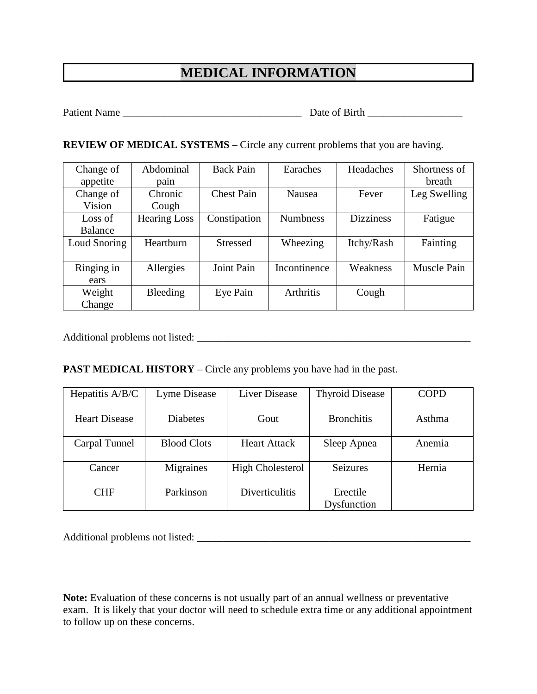### **MEDICAL INFORMATION**

Patient Name \_\_\_\_\_\_\_\_\_\_\_\_\_\_\_\_\_\_\_\_\_\_\_\_\_\_\_\_\_\_\_\_\_\_ Date of Birth \_\_\_\_\_\_\_\_\_\_\_\_\_\_\_\_\_\_

**REVIEW OF MEDICAL SYSTEMS** – Circle any current problems that you are having.

| Change of      | Abdominal           | <b>Back Pain</b>  | Earaches         | Headaches        | Shortness of |
|----------------|---------------------|-------------------|------------------|------------------|--------------|
| appetite       | pain                |                   |                  |                  | breath       |
| Change of      | Chronic             | <b>Chest Pain</b> | Nausea           | Fever            | Leg Swelling |
| Vision         | Cough               |                   |                  |                  |              |
| Loss of        | <b>Hearing Loss</b> | Constipation      | <b>Numbness</b>  | <b>Dizziness</b> | Fatigue      |
| <b>Balance</b> |                     |                   |                  |                  |              |
| Loud Snoring   | Heartburn           | <b>Stressed</b>   | Wheezing         | Itchy/Rash       | Fainting     |
|                |                     |                   |                  |                  |              |
| Ringing in     | Allergies           | Joint Pain        | Incontinence     | Weakness         | Muscle Pain  |
| ears           |                     |                   |                  |                  |              |
| Weight         | Bleeding            | Eye Pain          | <b>Arthritis</b> | Cough            |              |
| Change         |                     |                   |                  |                  |              |

Additional problems not listed: \_\_\_\_\_\_\_\_\_\_\_\_\_\_\_\_\_\_\_\_\_\_\_\_\_\_\_\_\_\_\_\_\_\_\_\_\_\_\_\_\_\_\_\_\_\_\_\_\_\_\_\_

#### **PAST MEDICAL HISTORY** – Circle any problems you have had in the past.

| Hepatitis A/B/C      | Lyme Disease       | <b>Liver Disease</b>    | <b>Thyroid Disease</b> | <b>COPD</b> |
|----------------------|--------------------|-------------------------|------------------------|-------------|
|                      |                    |                         |                        |             |
| <b>Heart Disease</b> | <b>Diabetes</b>    | Gout                    | <b>Bronchitis</b>      | Asthma      |
|                      |                    |                         |                        |             |
| Carpal Tunnel        | <b>Blood Clots</b> | <b>Heart Attack</b>     | Sleep Apnea            | Anemia      |
|                      |                    |                         |                        |             |
| Cancer               | Migraines          | <b>High Cholesterol</b> | <b>Seizures</b>        | Hernia      |
|                      |                    |                         |                        |             |
| <b>CHF</b>           | Parkinson          | <b>Diverticulitis</b>   | Erectile               |             |
|                      |                    |                         | Dysfunction            |             |

Additional problems not listed: \_\_\_\_\_\_\_\_\_\_\_\_\_\_\_\_\_\_\_\_\_\_\_\_\_\_\_\_\_\_\_\_\_\_\_\_\_\_\_\_\_\_\_\_\_\_\_\_\_\_\_\_

**Note:** Evaluation of these concerns is not usually part of an annual wellness or preventative exam. It is likely that your doctor will need to schedule extra time or any additional appointment to follow up on these concerns.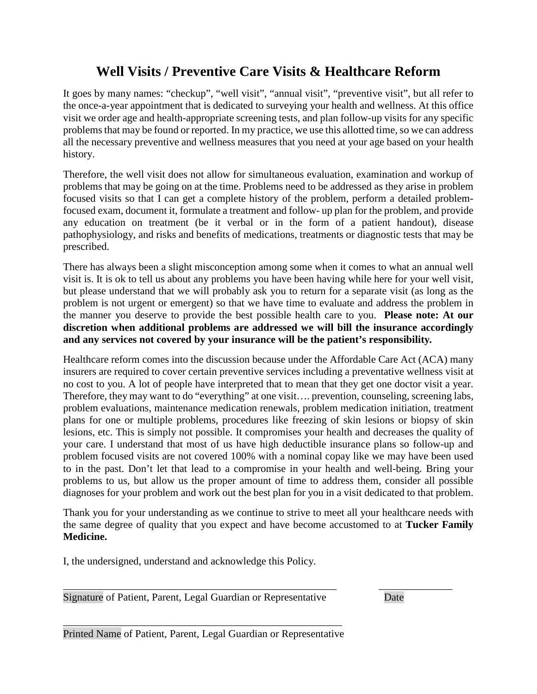### **Well Visits / Preventive Care Visits & Healthcare Reform**

It goes by many names: "checkup", "well visit", "annual visit", "preventive visit", but all refer to the once-a-year appointment that is dedicated to surveying your health and wellness. At this office visit we order age and health-appropriate screening tests, and plan follow-up visits for any specific problems that may be found or reported. In my practice, we use this allotted time, so we can address all the necessary preventive and wellness measures that you need at your age based on your health history.

Therefore, the well visit does not allow for simultaneous evaluation, examination and workup of problems that may be going on at the time. Problems need to be addressed as they arise in problem focused visits so that I can get a complete history of the problem, perform a detailed problemfocused exam, document it, formulate a treatment and follow- up plan for the problem, and provide any education on treatment (be it verbal or in the form of a patient handout), disease pathophysiology, and risks and benefits of medications, treatments or diagnostic tests that may be prescribed.

There has always been a slight misconception among some when it comes to what an annual well visit is. It is ok to tell us about any problems you have been having while here for your well visit, but please understand that we will probably ask you to return for a separate visit (as long as the problem is not urgent or emergent) so that we have time to evaluate and address the problem in the manner you deserve to provide the best possible health care to you. **Please note: At our discretion when additional problems are addressed we will bill the insurance accordingly and any services not covered by your insurance will be the patient's responsibility***.* 

Healthcare reform comes into the discussion because under the Affordable Care Act (ACA) many insurers are required to cover certain preventive services including a preventative wellness visit at no cost to you. A lot of people have interpreted that to mean that they get one doctor visit a year. Therefore, they may want to do "everything" at one visit…. prevention, counseling, screening labs, problem evaluations, maintenance medication renewals, problem medication initiation, treatment plans for one or multiple problems, procedures like freezing of skin lesions or biopsy of skin lesions, etc. This is simply not possible. It compromises your health and decreases the quality of your care. I understand that most of us have high deductible insurance plans so follow-up and problem focused visits are not covered 100% with a nominal copay like we may have been used to in the past. Don't let that lead to a compromise in your health and well-being. Bring your problems to us, but allow us the proper amount of time to address them, consider all possible diagnoses for your problem and work out the best plan for you in a visit dedicated to that problem.

Thank you for your understanding as we continue to strive to meet all your healthcare needs with the same degree of quality that you expect and have become accustomed to at **Tucker Family Medicine.**

I, the undersigned, understand and acknowledge this Policy.

\_\_\_\_\_\_\_\_\_\_\_\_\_\_\_\_\_\_\_\_\_\_\_\_\_\_\_\_\_\_\_\_\_\_\_\_\_\_\_\_\_\_\_\_\_\_\_\_\_\_\_\_ \_\_\_\_\_\_\_\_\_\_\_\_\_\_ Signature of Patient, Parent, Legal Guardian or Representative Date

\_\_\_\_\_\_\_\_\_\_\_\_\_\_\_\_\_\_\_\_\_\_\_\_\_\_\_\_\_\_\_\_\_\_\_\_\_\_\_\_\_\_\_\_\_\_\_\_\_\_\_\_\_ Printed Name of Patient, Parent, Legal Guardian or Representative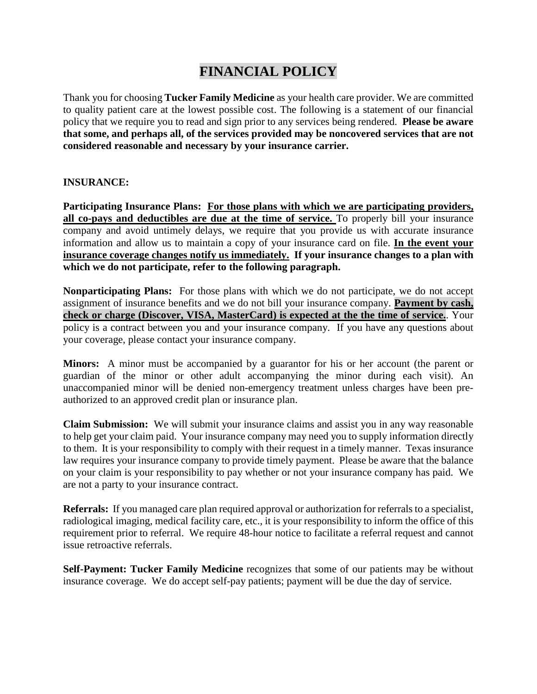### **FINANCIAL POLICY**

Thank you for choosing **Tucker Family Medicine** as your health care provider. We are committed to quality patient care at the lowest possible cost. The following is a statement of our financial policy that we require you to read and sign prior to any services being rendered. **Please be aware that some, and perhaps all, of the services provided may be noncovered services that are not considered reasonable and necessary by your insurance carrier.**

#### **INSURANCE:**

**Participating Insurance Plans: For those plans with which we are participating providers, all co-pays and deductibles are due at the time of service.** To properly bill your insurance company and avoid untimely delays, we require that you provide us with accurate insurance information and allow us to maintain a copy of your insurance card on file. **In the event your insurance coverage changes notify us immediately. If your insurance changes to a plan with which we do not participate, refer to the following paragraph.** 

**Nonparticipating Plans:** For those plans with which we do not participate, we do not accept assignment of insurance benefits and we do not bill your insurance company. **Payment by cash, check or charge (Discover, VISA, MasterCard) is expected at the the time of service.**. Your policy is a contract between you and your insurance company. If you have any questions about your coverage, please contact your insurance company.

**Minors:** A minor must be accompanied by a guarantor for his or her account (the parent or guardian of the minor or other adult accompanying the minor during each visit). An unaccompanied minor will be denied non-emergency treatment unless charges have been preauthorized to an approved credit plan or insurance plan.

**Claim Submission:** We will submit your insurance claims and assist you in any way reasonable to help get your claim paid. Your insurance company may need you to supply information directly to them. It is your responsibility to comply with their request in a timely manner. Texas insurance law requires your insurance company to provide timely payment. Please be aware that the balance on your claim is your responsibility to pay whether or not your insurance company has paid. We are not a party to your insurance contract.

**Referrals:** If you managed care plan required approval or authorization for referrals to a specialist, radiological imaging, medical facility care, etc., it is your responsibility to inform the office of this requirement prior to referral. We require 48-hour notice to facilitate a referral request and cannot issue retroactive referrals.

**Self-Payment: Tucker Family Medicine** recognizes that some of our patients may be without insurance coverage. We do accept self-pay patients; payment will be due the day of service.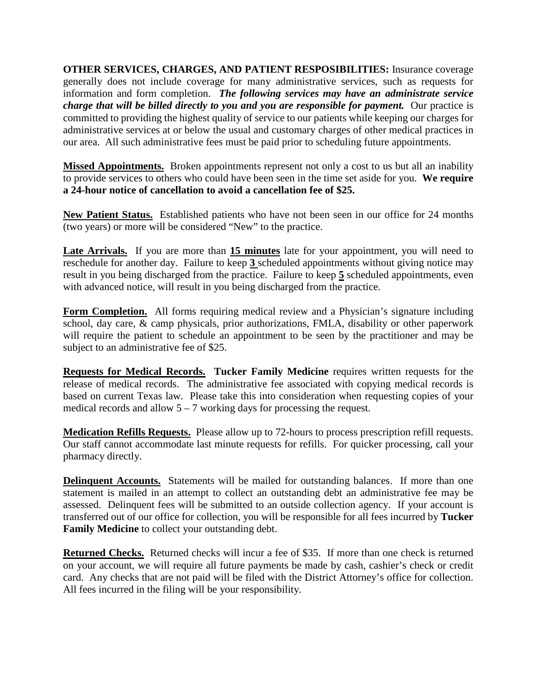**OTHER SERVICES, CHARGES, AND PATIENT RESPOSIBILITIES:** Insurance coverage generally does not include coverage for many administrative services, such as requests for information and form completion.*The following services may have an administrate service charge that will be billed directly to you and you are responsible for payment.* Our practice is committed to providing the highest quality of service to our patients while keeping our charges for administrative services at or below the usual and customary charges of other medical practices in our area. All such administrative fees must be paid prior to scheduling future appointments.

**Missed Appointments.** Broken appointments represent not only a cost to us but all an inability to provide services to others who could have been seen in the time set aside for you. **We require a 24-hour notice of cancellation to avoid a cancellation fee of \$25.** 

**New Patient Status.** Established patients who have not been seen in our office for 24 months (two years) or more will be considered "New" to the practice.

Late Arrivals. If you are more than 15 minutes late for your appointment, you will need to reschedule for another day. Failure to keep **3** scheduled appointments without giving notice may result in you being discharged from the practice. Failure to keep **5** scheduled appointments, even with advanced notice, will result in you being discharged from the practice.

**Form Completion.** All forms requiring medical review and a Physician's signature including school, day care,  $\&$  camp physicals, prior authorizations, FMLA, disability or other paperwork will require the patient to schedule an appointment to be seen by the practitioner and may be subject to an administrative fee of \$25.

**Requests for Medical Records. Tucker Family Medicine** requires written requests for the release of medical records. The administrative fee associated with copying medical records is based on current Texas law. Please take this into consideration when requesting copies of your medical records and allow  $5 - 7$  working days for processing the request.

**Medication Refills Requests.** Please allow up to 72-hours to process prescription refill requests. Our staff cannot accommodate last minute requests for refills. For quicker processing, call your pharmacy directly.

**Delinquent Accounts.** Statements will be mailed for outstanding balances. If more than one statement is mailed in an attempt to collect an outstanding debt an administrative fee may be assessed. Delinquent fees will be submitted to an outside collection agency. If your account is transferred out of our office for collection, you will be responsible for all fees incurred by **Tucker Family Medicine** to collect your outstanding debt.

**Returned Checks.** Returned checks will incur a fee of \$35. If more than one check is returned on your account, we will require all future payments be made by cash, cashier's check or credit card. Any checks that are not paid will be filed with the District Attorney's office for collection. All fees incurred in the filing will be your responsibility.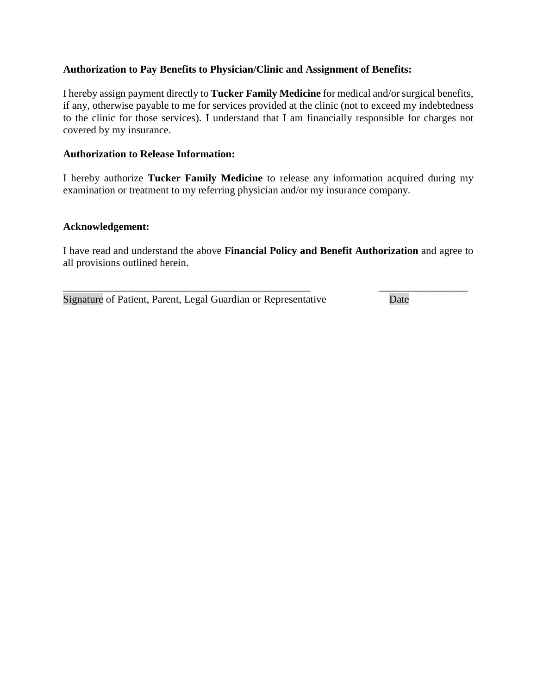#### **Authorization to Pay Benefits to Physician/Clinic and Assignment of Benefits:**

I hereby assign payment directly to **Tucker Family Medicine** for medical and/or surgical benefits, if any, otherwise payable to me for services provided at the clinic (not to exceed my indebtedness to the clinic for those services). I understand that I am financially responsible for charges not covered by my insurance.

#### **Authorization to Release Information:**

I hereby authorize **Tucker Family Medicine** to release any information acquired during my examination or treatment to my referring physician and/or my insurance company.

#### **Acknowledgement:**

I have read and understand the above **Financial Policy and Benefit Authorization** and agree to all provisions outlined herein.

Signature of Patient, Parent, Legal Guardian or Representative Date

\_\_\_\_\_\_\_\_\_\_\_\_\_\_\_\_\_\_\_\_\_\_\_\_\_\_\_\_\_\_\_\_\_\_\_\_\_\_\_\_\_\_\_\_\_\_\_ \_\_\_\_\_\_\_\_\_\_\_\_\_\_\_\_\_